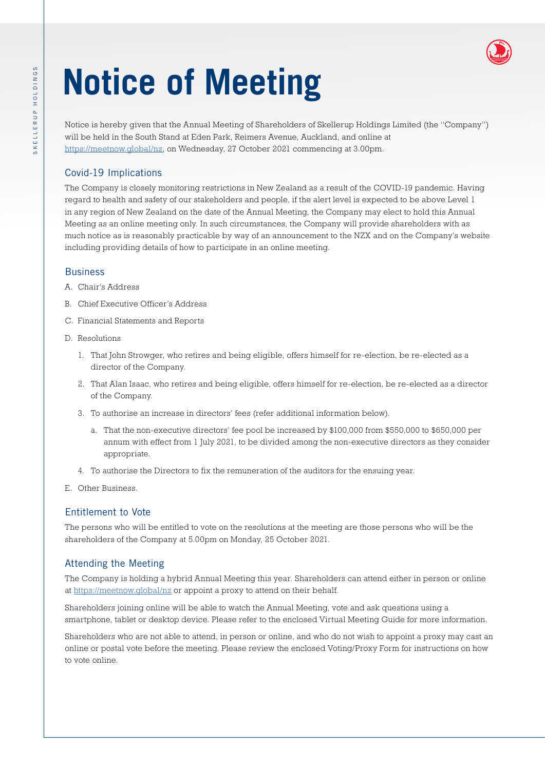# **Notice of Meeting**

Notice is hereby given that the Annual Meeting of Shareholders of Skellerup Holdings Limited (the "Company") will be held in the South Stand at Eden Park, Reimers Avenue, Auckland, and online at [https://meetnow.global/nz,](https://meetnow.global/nz) on Wednesday, 27 October 2021 commencing at 3.00pm.

# Covid-19 Implications

The Company is closely monitoring restrictions in New Zealand as a result of the COVID-19 pandemic. Having regard to health and safety of our stakeholders and people, if the alert level is expected to be above Level 1 in any region of New Zealand on the date of the Annual Meeting, the Company may elect to hold this Annual Meeting as an online meeting only. In such circumstances, the Company will provide shareholders with as much notice as is reasonably practicable by way of an announcement to the NZX and on the Company's website including providing details of how to participate in an online meeting.

### Business

- A. Chair's Address
- B. Chief Executive Officer's Address
- C. Financial Statements and Reports
- D. Resolutions
	- 1. That John Strowger, who retires and being eligible, offers himself for re-election, be re-elected as a director of the Company.
	- 2. That Alan Isaac, who retires and being eligible, offers himself for re-election, be re-elected as a director of the Company.
	- 3. To authorise an increase in directors' fees (refer additional information below).
		- a. That the non-executive directors' fee pool be increased by \$100,000 from \$550,000 to \$650,000 per annum with effect from 1 July 2021, to be divided among the non-executive directors as they consider appropriate.
	- 4. To authorise the Directors to fix the remuneration of the auditors for the ensuing year.
- E. Other Business.

# Entitlement to Vote

The persons who will be entitled to vote on the resolutions at the meeting are those persons who will be the shareholders of the Company at 5.00pm on Monday, 25 October 2021.

# Attending the Meeting

The Company is holding a hybrid Annual Meeting this year. Shareholders can attend either in person or online at <https://meetnow.global/nz> or appoint a proxy to attend on their behalf.

Shareholders joining online will be able to watch the Annual Meeting, vote and ask questions using a smartphone, tablet or desktop device. Please refer to the enclosed Virtual Meeting Guide for more information.

Shareholders who are not able to attend, in person or online, and who do not wish to appoint a proxy may cast an online or postal vote before the meeting. Please review the enclosed Voting/Proxy Form for instructions on how to vote online.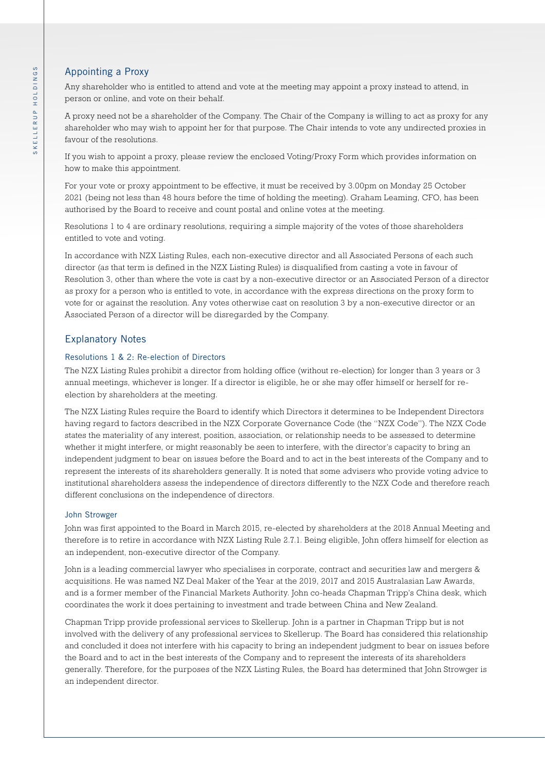## Appointing a Proxy

Any shareholder who is entitled to attend and vote at the meeting may appoint a proxy instead to attend, in person or online, and vote on their behalf.

A proxy need not be a shareholder of the Company. The Chair of the Company is willing to act as proxy for any shareholder who may wish to appoint her for that purpose. The Chair intends to vote any undirected proxies in favour of the resolutions.

If you wish to appoint a proxy, please review the enclosed Voting/Proxy Form which provides information on how to make this appointment.

For your vote or proxy appointment to be effective, it must be received by 3.00pm on Monday 25 October 2021 (being not less than 48 hours before the time of holding the meeting). Graham Leaming, CFO, has been authorised by the Board to receive and count postal and online votes at the meeting.

Resolutions 1 to 4 are ordinary resolutions, requiring a simple majority of the votes of those shareholders entitled to vote and voting.

In accordance with NZX Listing Rules, each non-executive director and all Associated Persons of each such director (as that term is defined in the NZX Listing Rules) is disqualified from casting a vote in favour of Resolution 3, other than where the vote is cast by a non-executive director or an Associated Person of a director as proxy for a person who is entitled to vote, in accordance with the express directions on the proxy form to vote for or against the resolution. Any votes otherwise cast on resolution 3 by a non-executive director or an Associated Person of a director will be disregarded by the Company.

### Explanatory Notes

#### Resolutions 1 & 2: Re-election of Directors

The NZX Listing Rules prohibit a director from holding office (without re-election) for longer than 3 years or 3 annual meetings, whichever is longer. If a director is eligible, he or she may offer himself or herself for reelection by shareholders at the meeting.

The NZX Listing Rules require the Board to identify which Directors it determines to be Independent Directors having regard to factors described in the NZX Corporate Governance Code (the "NZX Code"). The NZX Code states the materiality of any interest, position, association, or relationship needs to be assessed to determine whether it might interfere, or might reasonably be seen to interfere, with the director's capacity to bring an independent judgment to bear on issues before the Board and to act in the best interests of the Company and to represent the interests of its shareholders generally. It is noted that some advisers who provide voting advice to institutional shareholders assess the independence of directors differently to the NZX Code and therefore reach different conclusions on the independence of directors.

#### John Strowger

John was first appointed to the Board in March 2015, re-elected by shareholders at the 2018 Annual Meeting and therefore is to retire in accordance with NZX Listing Rule 2.7.1. Being eligible, John offers himself for election as an independent, non-executive director of the Company.

John is a leading commercial lawyer who specialises in corporate, contract and securities law and mergers & acquisitions. He was named NZ Deal Maker of the Year at the 2019, 2017 and 2015 Australasian Law Awards, and is a former member of the Financial Markets Authority. John co-heads Chapman Tripp's China desk, which coordinates the work it does pertaining to investment and trade between China and New Zealand.

Chapman Tripp provide professional services to Skellerup. John is a partner in Chapman Tripp but is not involved with the delivery of any professional services to Skellerup. The Board has considered this relationship and concluded it does not interfere with his capacity to bring an independent judgment to bear on issues before the Board and to act in the best interests of the Company and to represent the interests of its shareholders generally. Therefore, for the purposes of the NZX Listing Rules, the Board has determined that John Strowger is an independent director.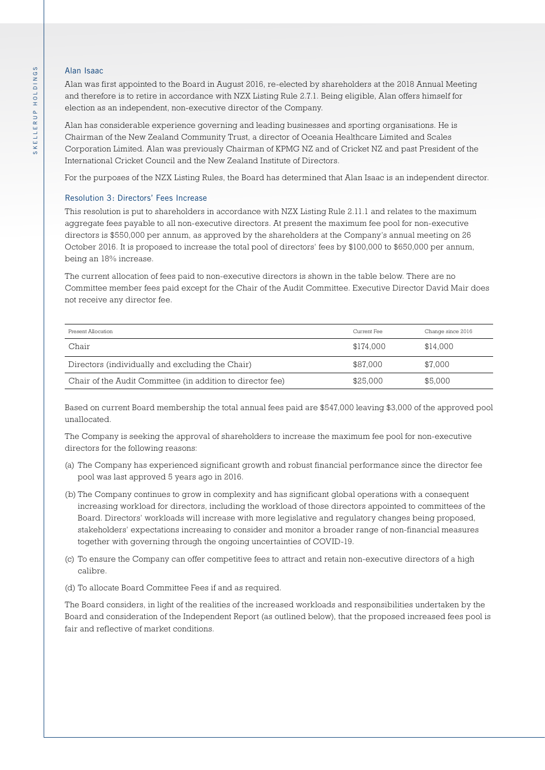#### Alan Isaac

Alan was first appointed to the Board in August 2016, re-elected by shareholders at the 2018 Annual Meeting and therefore is to retire in accordance with NZX Listing Rule 2.7.1. Being eligible, Alan offers himself for election as an independent, non-executive director of the Company.

Alan has considerable experience governing and leading businesses and sporting organisations. He is Chairman of the New Zealand Community Trust, a director of Oceania Healthcare Limited and Scales Corporation Limited. Alan was previously Chairman of KPMG NZ and of Cricket NZ and past President of the International Cricket Council and the New Zealand Institute of Directors.

For the purposes of the NZX Listing Rules, the Board has determined that Alan Isaac is an independent director.

#### Resolution 3: Directors' Fees Increase

This resolution is put to shareholders in accordance with NZX Listing Rule 2.11.1 and relates to the maximum aggregate fees payable to all non-executive directors. At present the maximum fee pool for non-executive directors is \$550,000 per annum, as approved by the shareholders at the Company's annual meeting on 26 October 2016. It is proposed to increase the total pool of directors' fees by \$100,000 to \$650,000 per annum, being an 18% increase.

The current allocation of fees paid to non-executive directors is shown in the table below. There are no Committee member fees paid except for the Chair of the Audit Committee. Executive Director David Mair does not receive any director fee.

| Present Allocation                                         | Current Fee | Change since 2016 |
|------------------------------------------------------------|-------------|-------------------|
| Chair                                                      | \$174.000   | \$14.000          |
| Directors (individually and excluding the Chair)           | \$87,000    | \$7,000           |
| Chair of the Audit Committee (in addition to director fee) | \$25,000    | \$5,000           |

Based on current Board membership the total annual fees paid are \$547,000 leaving \$3,000 of the approved pool unallocated.

The Company is seeking the approval of shareholders to increase the maximum fee pool for non-executive directors for the following reasons:

- (a) The Company has experienced significant growth and robust financial performance since the director fee pool was last approved 5 years ago in 2016.
- (b) The Company continues to grow in complexity and has significant global operations with a consequent increasing workload for directors, including the workload of those directors appointed to committees of the Board. Directors' workloads will increase with more legislative and regulatory changes being proposed, stakeholders' expectations increasing to consider and monitor a broader range of non-financial measures together with governing through the ongoing uncertainties of COVID-19.
- (c) To ensure the Company can offer competitive fees to attract and retain non-executive directors of a high calibre.
- (d) To allocate Board Committee Fees if and as required.

The Board considers, in light of the realities of the increased workloads and responsibilities undertaken by the Board and consideration of the Independent Report (as outlined below), that the proposed increased fees pool is fair and reflective of market conditions.